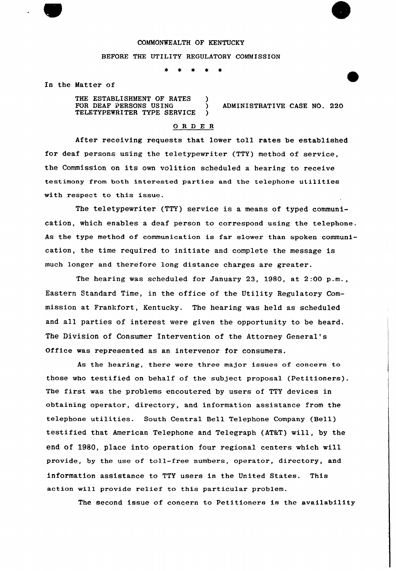## COMMONWEALTH OF KENTUCKY

## BEFORE THE UTILITY REGULATORY COMMISSION

 $\star$  $\bullet$ 

In the Matter of

THE ESTABLISHMENT OF RATES )<br>FOR DEAF PERSONS USING ) TELETYPEWRITER TYPE SERVICE )

) ADMINISTRATIVE CASE NO. 220

## 0 <sup>R</sup> <sup>D</sup> E <sup>R</sup>

After receiving requests that lower toll rates be established for deaf persons using the teletypewriter (TTY) method of service, the Commission on its own volition scheduled <sup>a</sup> hearing to receive testimony from both interested parties and the telephone utilities with respect to this issue.

The teletypewriter (TTY) service is a means of typed communication, which enables a deaf person to correspond using the telephone. As the type method of communication is far slower than spoken communication, the time required to initiate and complete the message is much longer and therefore long distance charges are greater.

The hearing was scheduled for January 23, 1980, at 2:00 p.m., Eastern Standard Time, in the office of. the Utility Regulatory Commission at Frankfort, Kentucky. The hearing was held as scheduled and all parties of interest were given the opportunity to be heard. The Division of Consumer Intervention of the Attorney General' Office was represented as an intervenor for consumers.

As the hearing, there were three major issues of concern to those who testified on behalf of the subject proposal (Petitioners). The first was the problems encoutered by users of TTY devices in obtaining operator, directory, and information assistance from the telephone utilities. South Central Bell Telephone Company (Bell) testified that American Telephone and Telegraph (AT&T) will, by the end of 19BO, place into operation four regional centers which will provide, by the use of toll-free numbers, operator, directory, and information assistance to TTY users in the United States. This action will provide relief to this particular problem.

The second issue of concern to Petitioners is the availability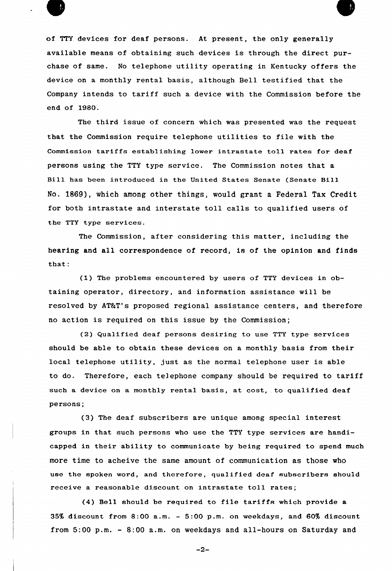

of TTY devices for deaf persons. At present, the only generally available means of obtaining such devices is through the direct purchase of same. No telephone utility operating in Kentucky offers the device on a monthly rental basis, although Bell testified that the Company intends to tariff such a device with the Commission before the end of 1980.

The third issue of concern which was presented was the request that the Commission require telephone utilities to file with the Commission tariffs establishing lower intrastate toll rates for deaf persons using the TTY type service. The Commission notes that a Bill has been introduced in the United States Senate (Senate Bill No. 1869), which among other things, would grant a Federal Tax Credit for both intrastate and interstate toll calls to qualified users of the TTY type services.

The Commission, after considering this matter, including the hearing and all correspondence of record, is of the opinion and finds that:

 $(1)$  The problems encountered by users of TTY devices in obtaining operator, directory, and information assistance will be resolved by AT&T's proposed regional assistance centers, and therefore no action is required on this issue by the Commission;

(2) Qualified deaf persons desiring to use TTY type services should be able to obtain these devices on a monthly basis from their local telephone utility, just as the normal telephone user is able to do. Therefore, each telephone company should be required to tariff such a device on a monthly rental basis, at cost, to qualified deaf persons;

(3) The deaf subscribers are unique among special interest groups in that such persons who use the TTY type services are handicapped in their ability to communicate by being required to spend much more time to acheive the same amount of communication as those who use the spoken word, and therefore, qualified deaf subscribers should receive a reasonable discount on intrastate toll rates;

(4) Bell should be required to file tariffs which provide a 35% discount from 8:00 a.m. — 5:00 p.m. on weekdays, and 60% discount from 5:00 p.m. — 8:00 a.m. on weekdays and all-hours on Saturday and

 $-2-$